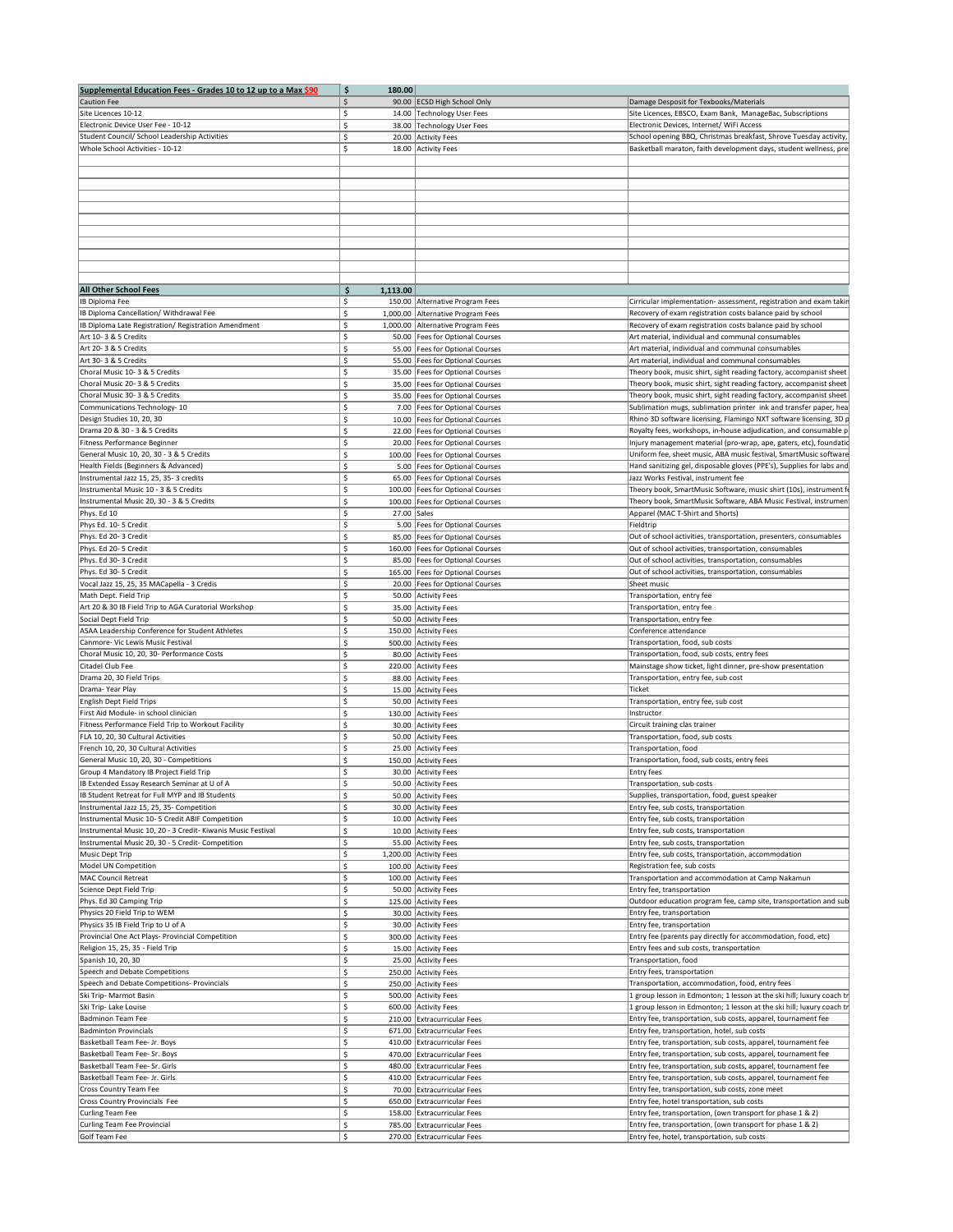| Supplemental Education Fees - Grades 10 to 12 up to a Max \$90 | $\ddot{\bm{\zeta}}$<br>180.00 |                                    |                                                                       |  |
|----------------------------------------------------------------|-------------------------------|------------------------------------|-----------------------------------------------------------------------|--|
| <b>Caution Fee</b>                                             | $\zeta$                       | 90.00 ECSD High School Only        | Damage Desposit for Texbooks/Materials                                |  |
| Site Licences 10-12                                            | Ś.                            | 14.00 Technology User Fees         | Site Licences, EBSCO, Exam Bank, ManageBac, Subscriptions             |  |
| Electronic Device User Fee - 10-12                             | Ś.                            | 38.00 Technology User Fees         | Electronic Devices, Internet/ WiFi Access                             |  |
| Student Council/ School Leadership Activities                  | Ŝ                             | 20.00 Activity Fees                | School opening BBQ, Christmas breakfast, Shrove Tuesday activity,     |  |
| Whole School Activities - 10-12                                | Ś.                            | 18.00 Activity Fees                | Basketball maraton, faith development days, student wellness, pre     |  |
|                                                                |                               |                                    |                                                                       |  |
|                                                                |                               |                                    |                                                                       |  |
|                                                                |                               |                                    |                                                                       |  |
|                                                                |                               |                                    |                                                                       |  |
|                                                                |                               |                                    |                                                                       |  |
|                                                                |                               |                                    |                                                                       |  |
|                                                                |                               |                                    |                                                                       |  |
|                                                                |                               |                                    |                                                                       |  |
|                                                                |                               |                                    |                                                                       |  |
|                                                                |                               |                                    |                                                                       |  |
| <b>All Other School Fees</b>                                   | \$<br>1,113.00                |                                    |                                                                       |  |
| IB Diploma Fee                                                 | \$                            | 150.00 Alternative Program Fees    | Cirricular implementation- assessment, registration and exam takin    |  |
| IB Diploma Cancellation/ Withdrawal Fee                        | Ś.                            | 1,000.00 Alternative Program Fees  | Recovery of exam registration costs balance paid by school            |  |
| IB Diploma Late Registration/ Registration Amendment           | Ś.                            | 1,000.00 Alternative Program Fees  | Recovery of exam registration costs balance paid by school            |  |
| Art 10-3 & 5 Credits                                           | Ś.                            | 50.00 Fees for Optional Courses    | Art material, individual and communal consumables                     |  |
| Art 20-3 & 5 Credits                                           | Ś.                            | 55.00   Fees for Optional Courses  | Art material, individual and communal consumables                     |  |
| Art 30-3 & 5 Credits                                           | Ś.                            | 55.00 Fees for Optional Courses    | Art material, individual and communal consumables                     |  |
| Choral Music 10-3 & 5 Credits                                  | Ś.                            | 35.00 Fees for Optional Courses    | Theory book, music shirt, sight reading factory, accompanist sheet    |  |
| Choral Music 20-3 & 5 Credits                                  | \$                            | 35.00   Fees for Optional Courses  | Theory book, music shirt, sight reading factory, accompanist sheet    |  |
| Choral Music 30-3 & 5 Credits                                  | Ś.                            | 35.00   Fees for Optional Courses  | Theory book, music shirt, sight reading factory, accompanist sheet    |  |
| Communications Technology-10                                   | \$                            | 7.00   Fees for Optional Courses   | Sublimation mugs, sublimation printer ink and transfer paper, hea     |  |
| Design Studies 10, 20, 30                                      | \$                            | 10.00   Fees for Optional Courses  | Rhino 3D software licensing, Flamingo NXT software licensing, 3D p    |  |
| Drama 20 & 30 - 3 & 5 Credits                                  | Ś.                            | 22.00 Fees for Optional Courses    | Royalty fees, workshops, in-house adjudication, and consumable p      |  |
| Fitness Performance Beginner                                   | -Ś                            | 20.00   Fees for Optional Courses  | Injury management material (pro-wrap, ape, gaters, etc), foundatid    |  |
| General Music 10, 20, 30 - 3 & 5 Credits                       | \$                            | 100.00   Fees for Optional Courses | Uniform fee, sheet music, ABA music festival, SmartMusic software     |  |
| Health Fields (Beginners & Advanced)                           | Ś.                            | 5.00   Fees for Optional Courses   | Hand sanitizing gel, disposable gloves (PPE's), Supplies for labs and |  |
| Instrumental Jazz 15, 25, 35-3 credits                         | Ś.                            | 65.00   Fees for Optional Courses  | Jazz Works Festival, instrument fee                                   |  |
| Instrumental Music 10 - 3 & 5 Credits                          | '\$                           | 100.00   Fees for Optional Courses | Theory book, SmartMusic Software, music shirt (10s), instrument f     |  |
| Instrumental Music 20, 30 - 3 & 5 Credits                      | Ś.                            | 100.00   Fees for Optional Courses | Theory book, SmartMusic Software, ABA Music Festival, instrumen       |  |
| Phys. Ed 10                                                    | 27.00 Sales<br>Ś.             |                                    | Apparel (MAC T-Shirt and Shorts)                                      |  |
| Phys Ed. 10-5 Credit                                           | Ś.                            | 5.00   Fees for Optional Courses   | Fieldtrip                                                             |  |
| Phys. Ed 20-3 Credit                                           | '\$                           | 85.00 Fees for Optional Courses    | Out of school activities, transportation, presenters, consumables     |  |
| Phys. Ed 20- 5 Credit                                          | \$                            | 160.00   Fees for Optional Courses | Out of school activities, transportation, consumables                 |  |
| Phys. Ed 30-3 Credit                                           | \$                            | 85.00 Fees for Optional Courses    | Out of school activities, transportation, consumables                 |  |
| Phys. Ed 30- 5 Credit                                          | Ś.                            | 165.00   Fees for Optional Courses | Out of school activities, transportation, consumables                 |  |
| Vocal Jazz 15, 25, 35 MACapella - 3 Credis                     | Ś.                            | 20.00   Fees for Optional Courses  | Sheet music                                                           |  |
| Math Dept. Field Trip                                          | Ś.                            | 50.00 Activity Fees                | Transportation, entry fee                                             |  |
| Art 20 & 30 IB Field Trip to AGA Curatorial Workshop           | \$                            | 35.00 Activity Fees                | Transportation, entry fee                                             |  |
| Social Dept Field Trip                                         | Ś.                            | 50.00 Activity Fees                | Transportation, entry fee                                             |  |
| ASAA Leadership Conference for Student Athletes                | Ś.                            | 150.00 Activity Fees               | Conference attendance                                                 |  |
| Canmore- Vic Lewis Music Festival                              | Ś.                            | 500.00 Activity Fees               | Transportation, food, sub costs                                       |  |
| Choral Music 10, 20, 30- Performance Costs                     | Ś.                            | 80.00 Activity Fees                | Transportation, food, sub costs, entry fees                           |  |
| Citadel Club Fee                                               |                               | 220.00 Activity Fees               | Mainstage show ticket, light dinner, pre-show presentation            |  |
| Drama 20, 30 Field Trips                                       |                               | 88.00 Activity Fees                | Transportation, entry fee, sub cost                                   |  |
| Drama-Year Play                                                | \$                            | 15.00 Activity Fees                | <b>Ticket</b>                                                         |  |
| English Dept Field Trips                                       | Ś.                            | 50.00 Activity Fees                | Transportation, entry fee, sub cost                                   |  |
| First Aid Module- in school clinician                          | Ś.                            | 130.00 Activity Fees               | Instructor                                                            |  |
| Fitness Performance Field Trip to Workout Facility             | Ś.                            | 30.00 Activity Fees                | Circuit training clas trainer                                         |  |
| FLA 10, 20, 30 Cultural Activities                             | -Ś                            | 50.00 Activity Fees                | Transportation, food, sub costs                                       |  |
| French 10, 20, 30 Cultural Activities                          | Ŝ.                            | 25.00 Activity Fees                | Transportation, food                                                  |  |
| General Music 10, 20, 30 - Competitions                        | \$                            | 150.00 Activity Fees               | Transportation, food, sub costs, entry fees                           |  |
| Group 4 Mandatory IB Project Field Trip                        | Ś.                            | 30.00 Activity Fees                | <b>Entry fees</b>                                                     |  |
| IB Extended Essay Research Seminar at U of A                   | Ś.                            | 50.00 Activity Fees                | Transportation, sub costs                                             |  |
| IB Student Retreat for Full MYP and IB Students                | Ŝ.                            | 50.00 Activity Fees                | Supplies, transportation, food, guest speaker                         |  |
| Instrumental Jazz 15, 25, 35- Competition                      | Ś.                            | 30.00 Activity Fees                | Entry fee, sub costs, transportation                                  |  |
| Instrumental Music 10-5 Credit ABIF Competition                | Ś.                            | 10.00 Activity Fees                | Entry fee, sub costs, transportation                                  |  |
| Instrumental Music 10, 20 - 3 Credit- Kiwanis Music Festival   | \$                            | 10.00 Activity Fees                | Entry fee, sub costs, transportation                                  |  |
| Instrumental Music 20, 30 - 5 Credit- Competition              | \$                            | 55.00 Activity Fees                | Entry fee, sub costs, transportation                                  |  |
| Music Dept Trip                                                | \$                            | 1,200.00 Activity Fees             | Entry fee, sub costs, transportation, accommodation                   |  |
| Model UN Competition                                           | Ŝ.                            | 100.00 Activity Fees               | Registration fee, sub costs                                           |  |
| MAC Council Retreat                                            | Ś.                            | 100.00 Activity Fees               | Transportation and accommodation at Camp Nakamun                      |  |
| Science Dept Field Trip                                        | Ś.                            | 50.00 Activity Fees                | Entry fee, transportation                                             |  |
| Phys. Ed 30 Camping Trip                                       | Ś.                            | 125.00 Activity Fees               | Outdoor education program fee, camp site, transportation and sub      |  |
| Physics 20 Field Trip to WEM                                   | \$                            | 30.00 Activity Fees                | Entry fee, transportation                                             |  |
| Physics 35 IB Field Trip to U of A                             | Ś.                            | 30.00 Activity Fees                | Entry fee, transportation                                             |  |
| Provincial One Act Plays- Provincial Competition               | Ś.                            | 300.00 Activity Fees               | Entry fee (parents pay directly for accommodation, food, etc)         |  |
| Religion 15, 25, 35 - Field Trip                               | Ś.                            | 15.00 Activity Fees                | Entry fees and sub costs, transportation                              |  |
| Spanish 10, 20, 30                                             | '\$                           | 25.00 Activity Fees                | Transportation, food                                                  |  |
| Speech and Debate Competitions                                 | Ś.                            | 250.00 Activity Fees               | Entry fees, transportation                                            |  |
| Speech and Debate Competitions- Provincials                    | Ś.                            | 250.00 Activity Fees               | Transportation, accommodation, food, entry fees                       |  |
| Ski Trip- Marmot Basin                                         | \$                            | 500.00 Activity Fees               | I group lesson in Edmonton; 1 lesson at the ski hill; luxury coach tr |  |
| Ski Trip- Lake Louise                                          | '\$                           | 600.00 Activity Fees               | 1 group lesson in Edmonton; 1 lesson at the ski hill; luxury coach tr |  |
| Badminon Team Fee                                              | '\$                           | 210.00 Extracurricular Fees        | Entry fee, transportation, sub costs, apparel, tournament fee         |  |
| <b>Badminton Provincials</b>                                   | '\$                           | 671.00 Extracurricular Fees        | Entry fee, transportation, hotel, sub costs                           |  |
| Basketball Team Fee- Jr. Boys                                  | '\$                           | 410.00 Extracurricular Fees        | Entry fee, transportation, sub costs, apparel, tournament fee         |  |
| Basketball Team Fee- Sr. Boys                                  | Ś.                            | 470.00 Extracurricular Fees        | Entry fee, transportation, sub costs, apparel, tournament fee         |  |
| Basketball Team Fee- Sr. Girls                                 | \$                            | 480.00 Extracurricular Fees        | Entry fee, transportation, sub costs, apparel, tournament fee         |  |
| Basketball Team Fee- Jr. Girls                                 | \$                            | 410.00 Extracurricular Fees        | Entry fee, transportation, sub costs, apparel, tournament fee         |  |
| <b>Cross Country Team Fee</b>                                  | Ś.                            | 70.00 Extracurricular Fees         | Entry fee, transportation, sub costs, zone meet                       |  |
| Cross Country Provincials Fee                                  | '\$                           | 650.00 Extracurricular Fees        | Entry fee, hotel transportation, sub costs                            |  |
| Curling Team Fee                                               | Ś.                            | 158.00 Extracurricular Fees        | Entry fee, transportation, (own transport for phase 1 & 2)            |  |
| Curling Team Fee Provincial                                    | \$                            | 785.00 Extracurricular Fees        | Entry fee, transportation, (own transport for phase 1 & 2)            |  |
| Golf Team Fee                                                  | $\zeta$                       | 270.00 Extracurricular Fees        | Entry fee, hotel, transportation, sub costs                           |  |